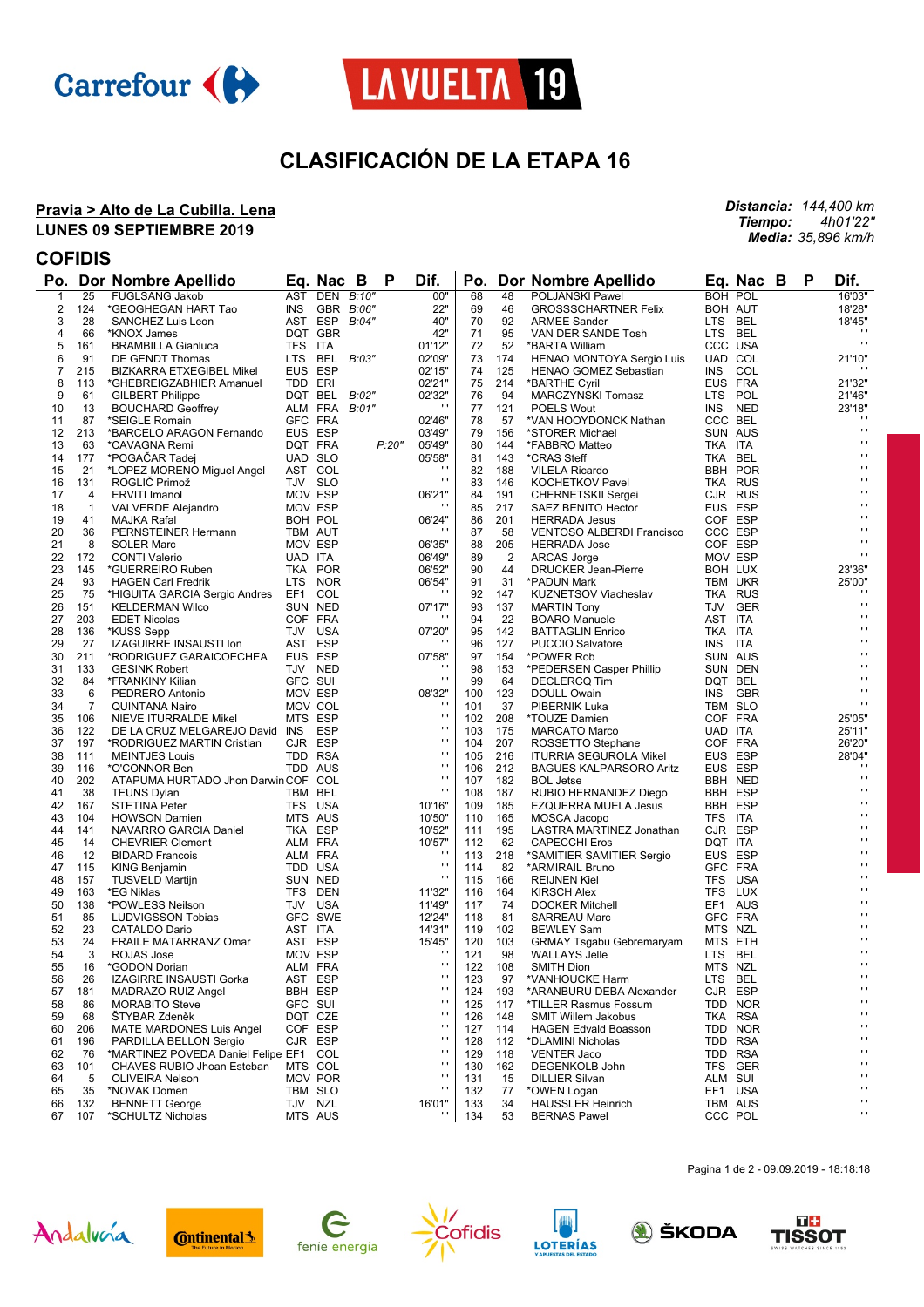



# **CLASIFICACIÓN DE LA ETAPA 16**

#### **Pravia > Alto de La Cubilla. Lena LUNES 09 SEPTIEMBRE 2019**

*Distancia: 144,400 km Tiempo: 4h01'22" Media: 35,896 km/h*

### **COFIDIS**

|          |                 | Po. Dor Nombre Apellido                       |                    | Eq. Nac B             |       | P     | Dif.                |            |                | Po. Dor Nombre Apellido                                 |                    | Eq. Nac B          | P | Dif.                        |
|----------|-----------------|-----------------------------------------------|--------------------|-----------------------|-------|-------|---------------------|------------|----------------|---------------------------------------------------------|--------------------|--------------------|---|-----------------------------|
| 1        | $\overline{25}$ | <b>FUGLSANG Jakob</b>                         |                    | AST DEN B:10"         |       |       | 00"                 | 68         | 48             | <b>POLJANSKI Pawel</b>                                  |                    | <b>BOH POL</b>     |   | 16'03"                      |
| 2        | 124             | *GEOGHEGAN HART Tao                           |                    | INS GBR B:06"         |       |       | 22"                 | 69         | 46             | <b>GROSSSCHARTNER Felix</b>                             | BOH AUT            |                    |   | 18'28"                      |
| 3        | 28              | SANCHEZ Luis Leon                             |                    | AST ESP               | B:04" |       | 40"                 | 70         | 92             | <b>ARMEE Sander</b>                                     | LTS BEL            |                    |   | 18'45"                      |
| 4        | 66              | *KNOX James                                   |                    | DQT GBR               |       |       | 42"                 | 71         | 95             | VAN DER SANDE Tosh                                      | LTS BEL            |                    |   |                             |
| 5        | 161             | <b>BRAMBILLA Gianluca</b>                     | TFS ITA            |                       |       |       | 01'12"              | 72         | 52             | *BARTA William                                          |                    | CCC USA            |   | $\mathbf{r}$                |
| 6        | 91              | DE GENDT Thomas                               | LTS BEL            |                       | B:03" |       | 02'09"              | 73         | 174            | HENAO MONTOYA Sergio Luis                               | UAD COL            |                    |   | 21'10"                      |
| 7        | 215             | BIZKARRA ETXEGIBEL Mikel                      | EUS ESP            |                       |       |       | 02'15"              | 74         | 125            | <b>HENAO GOMEZ Sebastian</b>                            | INS COL            |                    |   |                             |
| 8        | 113             | *GHEBREIGZABHIER Amanuel                      | TDD ERI            |                       |       |       | 02'21"              | 75         | 214            | *BARTHE Cyril                                           | EUS FRA            |                    |   | 21'32"                      |
| 9        | 61              | <b>GILBERT Philippe</b>                       |                    | DQT BEL               | B:02" |       | 02'32"              | 76         | 94             | MARCZYNSKI Tomasz                                       | LTS POL            |                    |   | 21'46"                      |
| 10       | 13              | <b>BOUCHARD Geoffrey</b>                      |                    | ALM FRA               | B:01" |       | $\cdots$            | 77         | 121            | <b>POELS Wout</b>                                       | INS NED            |                    |   | 23'18"                      |
| 11       | 87              | *SEIGLE Romain                                |                    | GFC FRA               |       |       | 02'46"              | 78         | 57             | *VAN HOOYDONCK Nathan                                   | CCC BEL            |                    |   | $^{\prime}$<br>$\mathbf{r}$ |
| 12       | 213             | *BARCELO ARAGON Fernando                      |                    | EUS ESP               |       |       | 03'49"              | 79         | 156            | *STORER Michael                                         | SUN AUS            |                    |   | $\blacksquare$              |
| 13       | 63              | *CAVAGNA Remi                                 |                    | DQT FRA               |       | P:20" | 05'49"              | 80         | 144            | *FABBRO Matteo                                          | TKA ITA            |                    |   | $\blacksquare$              |
| 14       | 177             | *POGACAR Tadej                                | UAD SLO            |                       |       |       | 05'58"              | 81         | 143            | *CRAS Steff                                             | TKA BEL            |                    |   | $\blacksquare$              |
| 15       | 21              | *LOPEZ MORENO Miguel Angel                    |                    | AST COL               |       |       | $\mathbf{r}$        | 82         | 188            | <b>VILELA Ricardo</b>                                   |                    | <b>BBH POR</b>     |   | $\blacksquare$              |
| 16       | 131             | ROGLIČ Primož                                 | TJV SLO            |                       |       |       |                     | 83         | 146            | <b>KOCHETKOV Pavel</b>                                  | <b>TKA RUS</b>     |                    |   | $\blacksquare$              |
| 17       | 4               | <b>ERVITI Imanol</b>                          | MOV ESP            |                       |       |       | 06'21"              | 84         | 191            | <b>CHERNETSKII Sergei</b>                               | CJR RUS            |                    |   | $\blacksquare$              |
| 18       | $\mathbf{1}$    | VALVERDE Alejandro                            | MOV ESP            |                       |       |       |                     | 85         | 217            | SAEZ BENITO Hector                                      | EUS ESP<br>COF ESP |                    |   | $\blacksquare$              |
| 19       | 41              | MAJKA Rafal                                   | BOH POL            |                       |       |       | 06'24"<br>$\cdots$  | 86         | 201            | <b>HERRADA Jesus</b>                                    | CCC ESP            |                    |   | $\blacksquare$              |
| 20<br>21 | 36<br>8         | PERNSTEINER Hermann<br><b>SOLER Marc</b>      | TBM AUT<br>MOV ESP |                       |       |       | 06'35"              | 87<br>88   | 58<br>205      | <b>VENTOSO ALBERDI Francisco</b><br><b>HERRADA Jose</b> | COF ESP            |                    |   | $\blacksquare$              |
| 22       | 172             | <b>CONTI Valerio</b>                          | UAD ITA            |                       |       |       | 06'49"              | 89         | $\overline{2}$ |                                                         | MOV ESP            |                    |   | $\blacksquare$              |
| 23       | 145             | *GUERREIRO Ruben                              |                    | TKA POR               |       |       | 06'52"              | 90         | 44             | ARCAS Jorge<br><b>DRUCKER Jean-Pierre</b>               | BOH LUX            |                    |   | 23'36"                      |
| 24       | 93              | <b>HAGEN Carl Fredrik</b>                     |                    | LTS NOR               |       |       | 06'54"              | 91         | 31             | *PADUN Mark                                             | TBM UKR            |                    |   | 25'00"                      |
| 25       | 75              | *HIGUITA GARCIA Sergio Andres EF1 COL         |                    |                       |       |       | $\cdots$            | 92         | 147            | <b>KUZNETSOV Viacheslav</b>                             | TKA RUS            |                    |   |                             |
| 26       | 151             | <b>KELDERMAN Wilco</b>                        |                    | SUN NED               |       |       | 07'17"              | 93         | 137            | <b>MARTIN Tony</b>                                      |                    | TJV GER            |   | $\mathbf{r}$                |
| 27       | 203             | <b>EDET Nicolas</b>                           | COF FRA            |                       |       |       |                     | 94         | 22             | <b>BOARO</b> Manuele                                    | AST ITA            |                    |   | $\blacksquare$              |
| 28       | 136             | *KUSS Sepp                                    |                    | TJV USA               |       |       | 07'20"              | 95         | 142            | <b>BATTAGLIN Enrico</b>                                 | TKA ITA            |                    |   | $\blacksquare$              |
| 29       | 27              | <b>IZAGUIRRE INSAUSTI Ion</b>                 | AST ESP            |                       |       |       | $\cdots$            | 96         | 127            | <b>PUCCIO Salvatore</b>                                 | INS ITA            |                    |   | $\blacksquare$              |
| 30       | 211             | *RODRIGUEZ GARAICOECHEA                       | EUS ESP            |                       |       |       | 07'58"              | 97         | 154            | *POWER Rob                                              | SUN AUS            |                    |   | $\blacksquare$              |
| 31       | 133             | <b>GESINK Robert</b>                          |                    | TJV NED               |       |       |                     | 98         | 153            | *PEDERSEN Casper Phillip                                |                    | SUN DEN            |   | $\blacksquare$              |
| 32       | 84              | *FRANKINY Kilian                              | GFC SUI            |                       |       |       | $\cdots$            | 99         | 64             | DECLERCQ Tim                                            | DQT BEL            |                    |   | $\blacksquare$              |
| 33       | 6               | PEDRERO Antonio                               | MOV ESP            |                       |       |       | 08'32"              | 100        | 123            | <b>DOULL Owain</b>                                      | INS GBR            |                    |   | $\blacksquare$              |
| 34       | $\overline{7}$  | <b>QUINTANA Nairo</b>                         | MOV COL            |                       |       |       |                     | 101        | 37             | PIBERNIK Luka                                           | TBM SLO            |                    |   | $\blacksquare$              |
| 35       | 106             | NIEVE ITURRALDE Mikel                         | MTS ESP            |                       |       |       | $\cdot$             | 102        | 208            | *TOUZE Damien                                           | COF FRA            |                    |   | 25'05"                      |
| 36       | 122             | DE LA CRUZ MELGAREJO David INS ESP            |                    |                       |       |       | $\bar{\phantom{a}}$ | 103        | 175            | <b>MARCATO Marco</b>                                    | UAD ITA            |                    |   | 25'11"                      |
| 37       | 197             | *RODRIGUEZ MARTIN Cristian                    | CJR ESP            |                       |       |       | $\mathbf{r}$        | 104        | 207            | ROSSETTO Stephane                                       | COF FRA            |                    |   | 26'20"                      |
| 38       | 111             | <b>MEINTJES Louis</b>                         |                    | TDD RSA               |       |       | $\cdot$             | 105        | 216            | <b>ITURRIA SEGUROLA Mikel</b>                           | EUS ESP            |                    |   | 28'04"                      |
| 39       | 116             | *O'CONNOR Ben                                 |                    | TDD AUS               |       |       | $\mathbf{r}$        | 106        | 212            | <b>BAGUES KALPARSORO Aritz</b>                          | EUS ESP            |                    |   | $\cdot$                     |
| 40       | 202             | ATAPUMA HURTADO Jhon Darwin COF COL           |                    |                       |       |       | $\mathbf{r}$        | 107        | 182            | <b>BOL Jetse</b>                                        |                    | BBH NED            |   | $\mathbf{r}$ .              |
| 41       | 38              | <b>TEUNS Dylan</b>                            | TBM BEL            |                       |       |       | $\mathbf{r}$        | 108        | 187            | RUBIO HERNANDEZ Diego                                   | BBH ESP            |                    |   | $\mathbf{r}$ .              |
| 42       | 167             | <b>STETINA Peter</b>                          |                    | TFS USA               |       |       | 10'16"              | 109        | 185            | <b>EZQUERRA MUELA Jesus</b>                             | BBH ESP            |                    |   | $\blacksquare$              |
| 43       | 104             | <b>HOWSON Damien</b>                          |                    | MTS AUS               |       |       | 10'50"              | 110        | 165            | MOSCA Jacopo                                            | TFS ITA            |                    |   | $\blacksquare$              |
| 44       | 141             | NAVARRO GARCIA Daniel                         | TKA ESP            |                       |       |       | 10'52"              | 111        | 195            | LASTRA MARTINEZ Jonathan                                | CJR ESP            |                    |   | $\blacksquare$              |
| 45       | 14              | <b>CHEVRIER Clement</b>                       | ALM FRA            |                       |       |       | 10'57"              | 112        | 62             | <b>CAPECCHI Eros</b>                                    | DQT ITA            |                    |   | $\blacksquare$              |
| 46       | 12              | <b>BIDARD Francois</b>                        | ALM FRA            |                       |       |       | $\cdots$            | 113        | 218            | *SAMITIER SAMITIER Sergio                               | EUS ESP            |                    |   | $\blacksquare$              |
| 47       | 115             | KING Benjamin                                 |                    | TDD USA               |       |       | $\cdot$             | 114        | 82             | *ARMIRAIL Bruno                                         | GFC FRA            |                    |   | $\cdot$                     |
| 48       | 157             | <b>TUSVELD Martijn</b>                        |                    | SUN NED               |       |       | $\mathbf{r}$        | 115        | 166            | <b>REIJNEN Kiel</b>                                     | TFS USA            |                    |   | $\blacksquare$              |
| 49       | 163             | *EG Niklas                                    |                    | TFS DEN               |       |       | 11'32"              | 116        | 164            | <b>KIRSCH Alex</b>                                      | TFS LUX            |                    |   | $\blacksquare$<br>$\cdot$   |
| 50       | 138             | *POWLESS Neilson                              |                    | TJV USA               |       |       | 11'49"              | 117        | 74             | <b>DOCKER Mitchell</b>                                  | EF1 AUS            |                    |   | $\blacksquare$              |
| 51       | 85              | LUDVIGSSON Tobias                             |                    | GFC SWE               |       |       | 12'24"              | 118        | 81             | <b>SARREAU Marc</b>                                     | GFC FRA            |                    |   | $\blacksquare$              |
| 52       | 23              | <b>CATALDO Dario</b>                          | AST ITA            |                       |       |       | 14'31"              | 119        | 102            | <b>BEWLEY Sam</b>                                       | MTS NZL            |                    |   | $\mathbf{r}$                |
| 53       | 24              | FRAILE MATARRANZ Omar                         |                    | AST ESP               |       |       | 15'45"<br>$\cdot$   | 120        | 103            | <b>GRMAY Tsgabu Gebremaryam</b>                         | MTS ETH            |                    |   | $\cdot$ .                   |
| 54       | 3               | <b>ROJAS Jose</b>                             | MOV ESP            |                       |       |       | $\mathbf{r}$        | 121        | 98             | <b>WALLAYS Jelle</b>                                    | LTS BEL            |                    |   | $\cdot$                     |
| 55       | 16              | *GODON Dorian                                 | ALM FRA            |                       |       |       | $\mathbf{r}$        | 122        | 108            | <b>SMITH Dion</b>                                       | MTS NZL            |                    |   | $\mathbf{r}$                |
| 56<br>57 | 26              | IZAGIRRE INSAUSTI Gorka<br>MADRAZO RUIZ Angel | AST                | <b>ESP</b><br>BBH ESP |       |       | $\mathbf{r}$        | 123<br>124 | 97<br>193      | *VANHOUCKE Harm                                         | <b>LTS</b>         | BEL<br>CJR ESP     |   | $\bar{\phantom{a}}$         |
|          | 181             |                                               |                    |                       |       |       | $\mathbf{r}$        |            |                | *ARANBURU DEBA Alexander                                |                    |                    |   | $\blacksquare$              |
| 58<br>59 | 86<br>68        | <b>MORABITO Steve</b><br><b>STYBAR Zdeněk</b> | GFC SUI            | DQT CZE               |       |       | $\mathbf{r}$        | 125<br>126 | 117<br>148     | *TILLER Rasmus Fossum<br><b>SMIT Willem Jakobus</b>     |                    | TDD NOR<br>TKA RSA |   | $\mathbf{r}$                |
| 60       | 206             | <b>MATE MARDONES Luis Angel</b>               |                    | COF ESP               |       |       | $\mathbf{r}$        | 127        | 114            | <b>HAGEN Edvald Boasson</b>                             |                    | TDD NOR            |   | $\bar{\phantom{a}}$         |
| 61       | 196             | PARDILLA BELLON Sergio                        |                    | CJR ESP               |       |       | $\mathbf{r}$        | 128        | 112            | *DLAMINI Nicholas                                       |                    | TDD RSA            |   | $\blacksquare$              |
| 62       | 76              | *MARTINEZ POVEDA Daniel Felipe EF1            |                    | COL                   |       |       | $\blacksquare$      | 129        | 118            | <b>VENTER Jaco</b>                                      |                    | TDD RSA            |   | $\bar{\phantom{a}}$         |
| 63       | 101             | CHAVES RUBIO Jhoan Esteban                    |                    | MTS COL               |       |       | $\blacksquare$      | 130        | 162            | DEGENKOLB John                                          |                    | TFS GER            |   | $\bar{\phantom{a}}$         |
| 64       | 5               | <b>OLIVEIRA Nelson</b>                        |                    | MOV POR               |       |       | $\mathbf{r}$        | 131        | 15             | <b>DILLIER Silvan</b>                                   | ALM SUI            |                    |   | $\blacksquare$              |
| 65       | 35              | *NOVAK Domen                                  |                    | TBM SLO               |       |       | $\mathbf{r}$        | 132        | 77             | *OWEN Logan                                             |                    | EF1 USA            |   | $\bar{\phantom{a}}$         |
| 66       | 132             | <b>BENNETT George</b>                         | TJV NZL            |                       |       |       | 16'01"              | 133        | 34             | <b>HAUSSLER Heinrich</b>                                |                    | TBM AUS            |   | $\bar{\phantom{a}}$         |
| 67       | 107             | *SCHULTZ Nicholas                             |                    | MTS AUS               |       |       | $\cdot$             | 134        | 53             | <b>BERNAS Pawel</b>                                     | CCC POL            |                    |   | $\mathbf{r}$                |













Pagina 1 de 2 - 09.09.2019 - 18:18:18